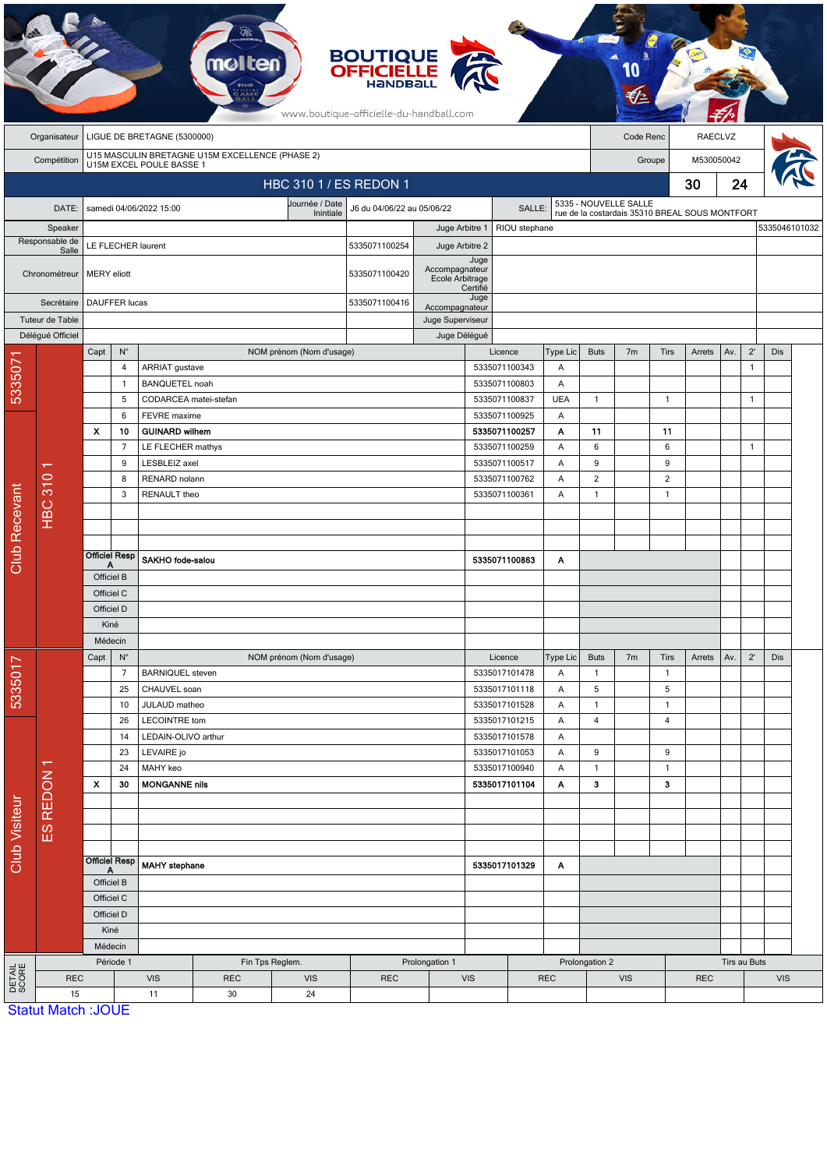|                                                                                            |                               |                             |                                                                 |                                         |                   |                          | <b>BOUTIQUE</b><br><b>OFFICIELLE</b><br>www.boutique-officielle-du-handball.com |                                    |                  |                                                                |                                                                         |                      |                |                |            |              |              |               |  |
|--------------------------------------------------------------------------------------------|-------------------------------|-----------------------------|-----------------------------------------------------------------|-----------------------------------------|-------------------|--------------------------|---------------------------------------------------------------------------------|------------------------------------|------------------|----------------------------------------------------------------|-------------------------------------------------------------------------|----------------------|----------------|----------------|------------|--------------|--------------|---------------|--|
|                                                                                            | Organisateur                  | LIGUE DE BRETAGNE (5300000) |                                                                 |                                         |                   |                          |                                                                                 |                                    |                  |                                                                |                                                                         | RAECLVZ<br>Code Renc |                |                |            |              |              |               |  |
| U15 MASCULIN BRETAGNE U15M EXCELLENCE (PHASE 2)<br>U15M EXCEL POULE BASSE 1<br>Compétition |                               |                             |                                                                 |                                         |                   |                          |                                                                                 |                                    |                  |                                                                |                                                                         | Groupe               |                |                |            | M530050042   |              |               |  |
| HBC 310 1 / ES REDON 1                                                                     |                               |                             |                                                                 |                                         |                   |                          |                                                                                 |                                    |                  |                                                                |                                                                         |                      |                |                | 30         | 24           |              |               |  |
|                                                                                            | DATE:                         |                             |                                                                 | samedi 04/06/2022 15:00                 |                   | Journée / Date           | J6 du 04/06/22 au 05/06/22                                                      |                                    | SALLE:           |                                                                | 5335 - NOUVELLE SALLE<br>rue de la costardais 35310 BREAL SOUS MONTFORT |                      |                |                |            |              |              |               |  |
| Speaker                                                                                    |                               |                             |                                                                 |                                         |                   | Inintiale                |                                                                                 | Juge Arbitre 1                     |                  | RIOU stephane                                                  |                                                                         |                      |                |                |            |              |              | 5335046101032 |  |
| Responsable de                                                                             |                               | LE FLECHER laurent          |                                                                 |                                         |                   |                          | 5335071100254                                                                   | Juge Arbitre 2                     |                  |                                                                |                                                                         |                      |                |                |            |              |              |               |  |
| Salle<br>Chronométreur                                                                     |                               | <b>MERY</b> eliott          |                                                                 |                                         |                   |                          | 5335071100420                                                                   | Accompagnateur<br>Ecole Arbitrage  | Juge             |                                                                |                                                                         |                      |                |                |            |              |              |               |  |
|                                                                                            | Secrétaire<br>Tuteur de Table | <b>DAUFFER lucas</b>        |                                                                 |                                         |                   |                          | 5335071100416                                                                   | Accompagnateur<br>Juge Superviseur | Certifié<br>Juge |                                                                |                                                                         |                      |                |                |            |              |              |               |  |
|                                                                                            | Délégué Officiel              |                             |                                                                 |                                         |                   |                          | Juge Délégué                                                                    |                                    |                  |                                                                |                                                                         |                      |                |                |            |              |              |               |  |
|                                                                                            |                               | Capt                        | $\mathsf{N}^\circ$                                              |                                         |                   | NOM prénom (Nom d'usage) |                                                                                 |                                    |                  | Licence                                                        | Type Lic                                                                | <b>Buts</b>          | 7 <sub>m</sub> | <b>Tirs</b>    | Arrets     | Av.          | $2^{\prime}$ | <b>Dis</b>    |  |
| 533507                                                                                     |                               |                             | $\overline{4}$<br>$\mathbf{1}$                                  | ARRIAT gustave<br><b>BANQUETEL noah</b> |                   |                          |                                                                                 |                                    |                  | 5335071100343<br>5335071100803                                 | Α<br>Α                                                                  |                      |                |                |            |              | $\mathbf{1}$ |               |  |
|                                                                                            |                               |                             | 5                                                               | CODARCEA matei-stefan                   |                   |                          |                                                                                 |                                    |                  | 5335071100837                                                  | <b>UEA</b>                                                              | $\mathbf{1}$         |                | $\mathbf{1}$   |            |              | $\mathbf{1}$ |               |  |
|                                                                                            |                               |                             | 6                                                               | FEVRE maxime                            |                   |                          |                                                                                 |                                    |                  | 5335071100925                                                  | Α                                                                       |                      |                |                |            |              |              |               |  |
|                                                                                            |                               | $\mathbf{x}$                | 10                                                              | <b>GUINARD wilhem</b>                   |                   |                          |                                                                                 |                                    |                  | 5335071100257                                                  | Α                                                                       | 11                   |                | 11             |            |              |              |               |  |
|                                                                                            |                               |                             | $\overline{7}$                                                  |                                         | LE FLECHER mathys |                          |                                                                                 |                                    |                  | 5335071100259<br>A                                             |                                                                         | 6                    |                | 6              |            |              | $\mathbf{1}$ |               |  |
|                                                                                            | <b>HBC 310</b>                |                             | 9                                                               | LESBLEIZ axel                           |                   |                          |                                                                                 |                                    |                  | 5335071100517<br>Α<br>5335071100762<br>A<br>5335071100361<br>Α |                                                                         | 9                    |                | 9              |            |              |              |               |  |
|                                                                                            |                               |                             | 8                                                               |                                         | RENARD nolann     |                          |                                                                                 |                                    |                  |                                                                |                                                                         | $\overline{2}$       |                | $\overline{2}$ |            |              |              |               |  |
|                                                                                            |                               |                             | 3                                                               | RENAULT theo                            |                   |                          |                                                                                 |                                    |                  |                                                                |                                                                         | $\mathbf{1}$         |                | $\mathbf{1}$   |            |              |              |               |  |
|                                                                                            |                               |                             |                                                                 |                                         |                   |                          |                                                                                 |                                    |                  |                                                                |                                                                         |                      |                |                |            |              |              |               |  |
|                                                                                            |                               |                             |                                                                 |                                         |                   |                          |                                                                                 |                                    |                  |                                                                |                                                                         |                      |                |                |            |              |              |               |  |
| <b>Club Recevant</b>                                                                       |                               | Α                           | <b>Officiel Resp</b>                                            | SAKHO fode-salou                        |                   |                          |                                                                                 |                                    |                  | 5335071100863                                                  | Α                                                                       |                      |                |                |            |              |              |               |  |
|                                                                                            |                               | Officiel B                  |                                                                 |                                         |                   |                          |                                                                                 |                                    |                  |                                                                |                                                                         |                      |                |                |            |              |              |               |  |
|                                                                                            |                               | Officiel C                  |                                                                 |                                         |                   |                          |                                                                                 |                                    |                  |                                                                |                                                                         |                      |                |                |            |              |              |               |  |
|                                                                                            |                               | Officiel D                  |                                                                 |                                         |                   |                          |                                                                                 |                                    |                  |                                                                |                                                                         |                      |                |                |            |              |              |               |  |
|                                                                                            |                               | Kiné<br>Médecin             |                                                                 |                                         |                   |                          |                                                                                 |                                    |                  |                                                                |                                                                         |                      |                |                |            |              |              |               |  |
|                                                                                            |                               | $\mathsf{N}^\circ$<br>Capt  |                                                                 |                                         |                   | NOM prénom (Nom d'usage) |                                                                                 |                                    |                  | Licence                                                        | Type Lic                                                                | <b>Buts</b>          | 7m             | Tirs           | Arrets     | Av.          | $2^{\prime}$ | Dis           |  |
| 5335017                                                                                    |                               |                             | $\overline{7}$                                                  | <b>BARNIQUEL</b> steven                 |                   |                          |                                                                                 |                                    |                  | 5335017101478                                                  | Α                                                                       | $\mathbf{1}$         |                | $\mathbf{1}$   |            |              |              |               |  |
|                                                                                            |                               |                             | 25                                                              | CHAUVEL soan                            |                   |                          |                                                                                 |                                    |                  | 5335017101118                                                  | Α                                                                       | $\sqrt{5}$           |                | 5              |            |              |              |               |  |
|                                                                                            |                               |                             | 10                                                              | JULAUD matheo                           |                   |                          |                                                                                 |                                    |                  | 5335017101528                                                  | Α                                                                       | $\mathbf{1}$         |                | $\mathbf{1}$   |            |              |              |               |  |
| <b>Club Visiteur</b>                                                                       |                               |                             | 26                                                              | <b>LECOINTRE tom</b>                    |                   |                          |                                                                                 |                                    |                  | 5335017101215                                                  | Α                                                                       | $\overline{4}$       |                | $\overline{4}$ |            |              |              |               |  |
|                                                                                            |                               |                             | LEDAIN-OLIVO arthur<br>14<br>23<br>LEVAIRE jo<br>24<br>MAHY keo |                                         |                   |                          |                                                                                 | 5335017101578                      | Α<br>Α           | 9                                                              |                                                                         | 9                    |                |                |            |              |              |               |  |
|                                                                                            | ES REDON 1                    |                             |                                                                 |                                         |                   |                          |                                                                                 | 5335017101053<br>5335017100940     |                  | $\mathbf{1}$                                                   |                                                                         | $\mathbf{1}$         |                |                |            |              |              |               |  |
|                                                                                            |                               | $\boldsymbol{\mathsf{x}}$   | 30                                                              | <b>MONGANNE nils</b>                    |                   |                          |                                                                                 |                                    |                  | 5335017101104                                                  | Α<br>Α                                                                  | 3                    |                | 3              |            |              |              |               |  |
|                                                                                            |                               |                             |                                                                 |                                         |                   |                          |                                                                                 |                                    |                  |                                                                |                                                                         |                      |                |                |            |              |              |               |  |
|                                                                                            |                               |                             |                                                                 |                                         |                   |                          |                                                                                 |                                    |                  |                                                                |                                                                         |                      |                |                |            |              |              |               |  |
|                                                                                            |                               |                             |                                                                 |                                         |                   |                          |                                                                                 |                                    |                  |                                                                |                                                                         |                      |                |                |            |              |              |               |  |
|                                                                                            |                               | <b>Officiel Resp</b>        |                                                                 | <b>MAHY</b> stephane                    |                   |                          |                                                                                 |                                    |                  |                                                                |                                                                         |                      |                |                |            |              |              |               |  |
|                                                                                            |                               | Officiel B                  |                                                                 |                                         |                   |                          | 5335017101329<br>Α                                                              |                                    |                  |                                                                |                                                                         |                      |                |                |            |              |              |               |  |
|                                                                                            |                               | Officiel C                  |                                                                 |                                         |                   |                          |                                                                                 |                                    |                  |                                                                |                                                                         |                      |                |                |            |              |              |               |  |
|                                                                                            |                               | Officiel D                  |                                                                 |                                         |                   |                          |                                                                                 |                                    |                  |                                                                |                                                                         |                      |                |                |            |              |              |               |  |
|                                                                                            |                               |                             | Kiné<br>Médecin                                                 |                                         |                   |                          |                                                                                 |                                    |                  |                                                                |                                                                         |                      |                |                |            |              |              |               |  |
|                                                                                            |                               |                             |                                                                 |                                         |                   |                          |                                                                                 |                                    |                  |                                                                |                                                                         |                      |                |                |            |              |              |               |  |
|                                                                                            |                               |                             | Période 1                                                       |                                         |                   | Fin Tps Reglem.          |                                                                                 | Prolongation 1                     |                  |                                                                |                                                                         | Prolongation 2       |                |                |            | Tirs au Buts |              |               |  |
| <b>DETAIL</b><br>SCORE                                                                     | <b>REC</b><br>15              |                             |                                                                 | <b>VIS</b><br>11                        | <b>REC</b><br>30  | <b>VIS</b><br>24         | <b>REC</b>                                                                      |                                    | <b>VIS</b>       | <b>REC</b>                                                     |                                                                         | <b>VIS</b>           |                |                | <b>REC</b> |              | <b>VIS</b>   |               |  |
|                                                                                            | <b>Statut Match: JOUE</b>     |                             |                                                                 |                                         |                   |                          |                                                                                 |                                    |                  |                                                                |                                                                         |                      |                |                |            |              |              |               |  |